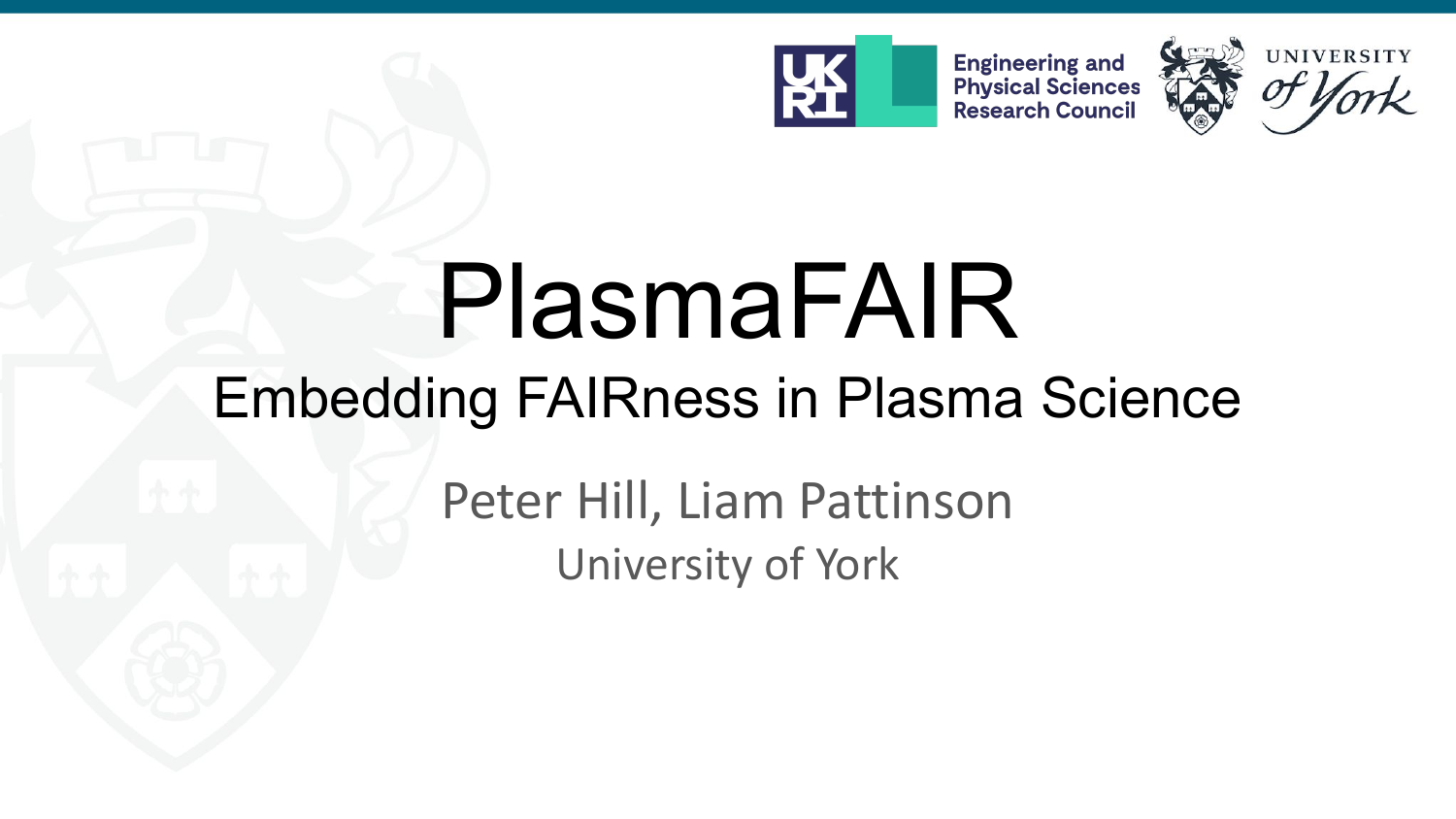

**Engineering and<br>Physical Sciences<br>Research Council** 



# PlasmaFAIR

## Embedding FAIRness in Plasma Science

Peter Hill, Liam Pattinson University of York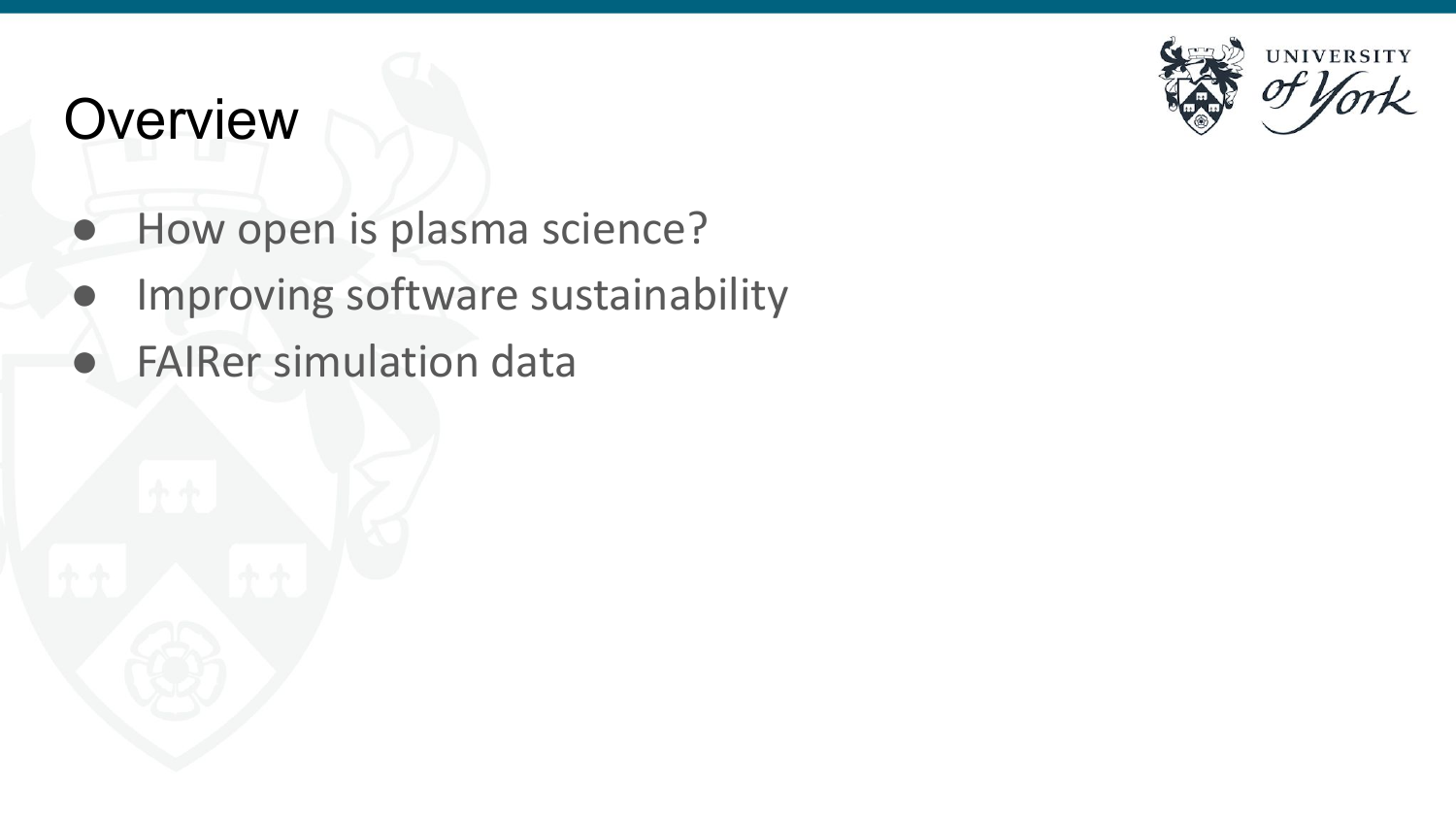### **Overview**

- How open is plasma science?
- Improving software sustainability
- **FAIRer simulation data**

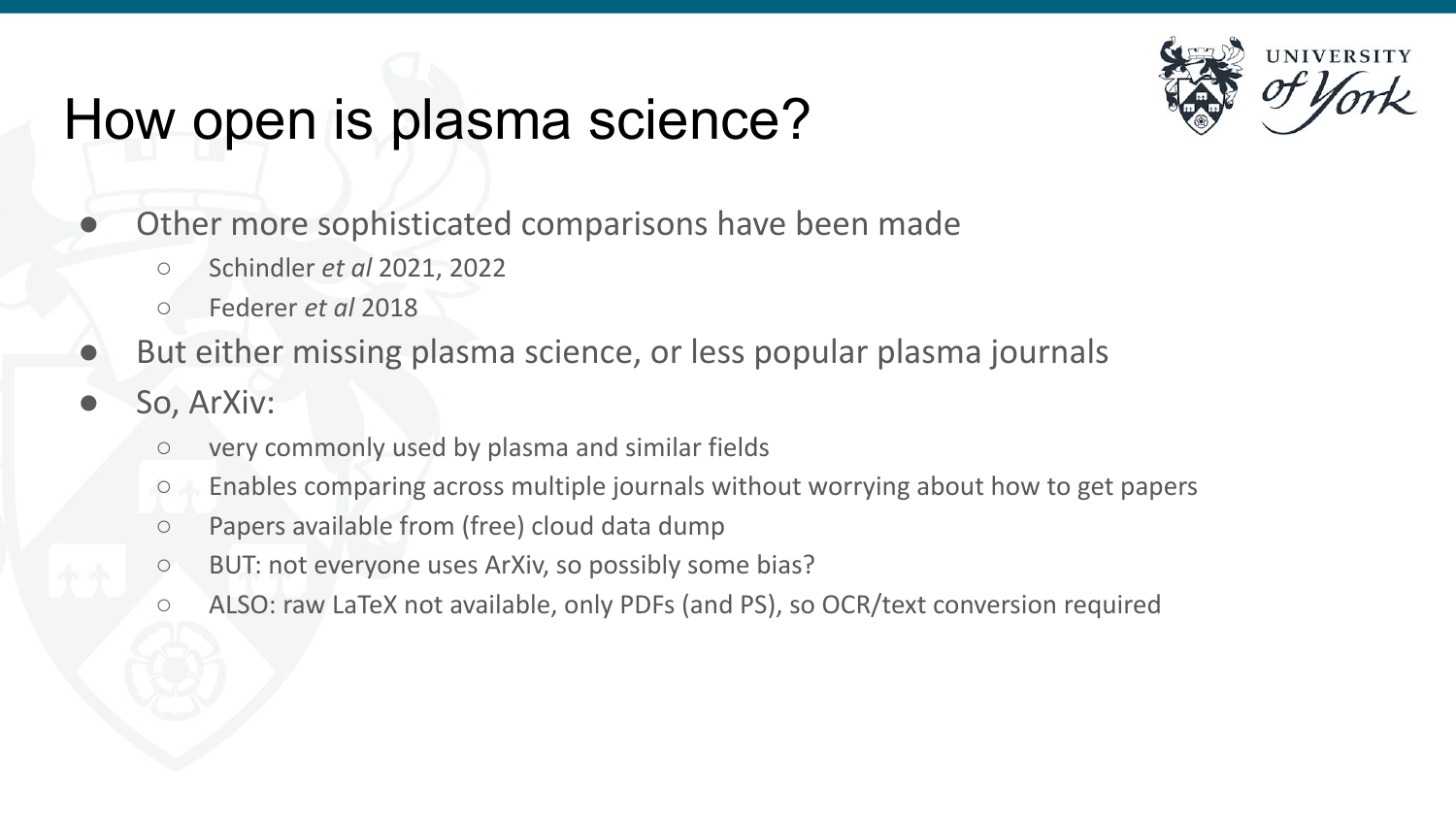### How open is plasma science?



- Other more sophisticated comparisons have been made
	- Schindler *et al* 2021, 2022
	- Federer *et al* 2018
- But either missing plasma science, or less popular plasma journals
- So, ArXiv:
	- very commonly used by plasma and similar fields
	- Enables comparing across multiple journals without worrying about how to get papers
	- Papers available from (free) cloud data dump
	- BUT: not everyone uses ArXiv, so possibly some bias?
	- ALSO: raw LaTeX not available, only PDFs (and PS), so OCR/text conversion required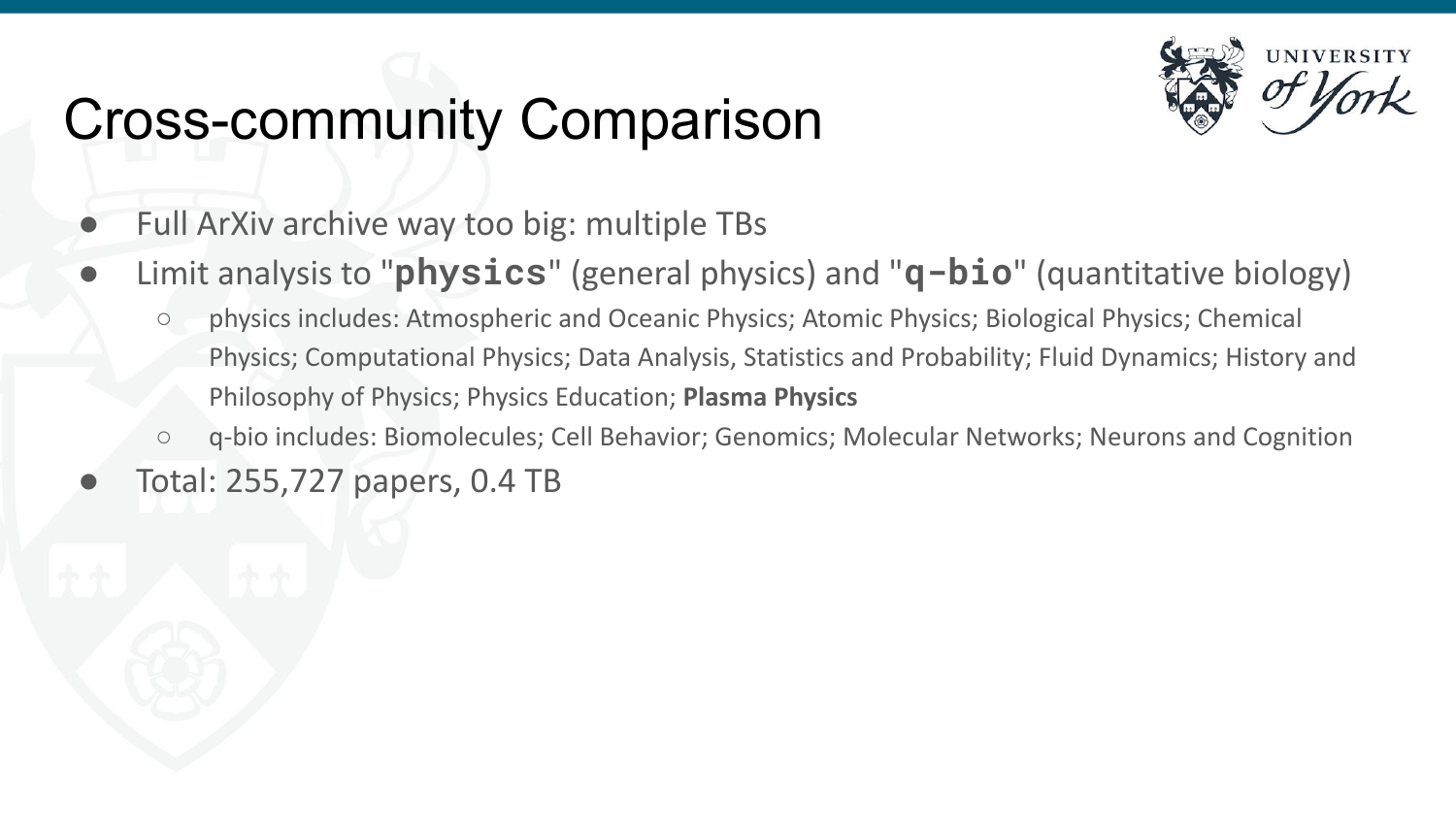## Cross-community Comparison



- Full ArXiv archive way too big: multiple TBs
- Limit analysis to "**physics**" (general physics) and "**q-bio**" (quantitative biology)
	- physics includes: Atmospheric and Oceanic Physics; Atomic Physics; Biological Physics; Chemical Physics; Computational Physics; Data Analysis, Statistics and Probability; Fluid Dynamics; History and Philosophy of Physics; Physics Education; **Plasma Physics**
	- q-bio includes: Biomolecules; Cell Behavior; Genomics; Molecular Networks; Neurons and Cognition
- Total: 255,727 papers, 0.4 TB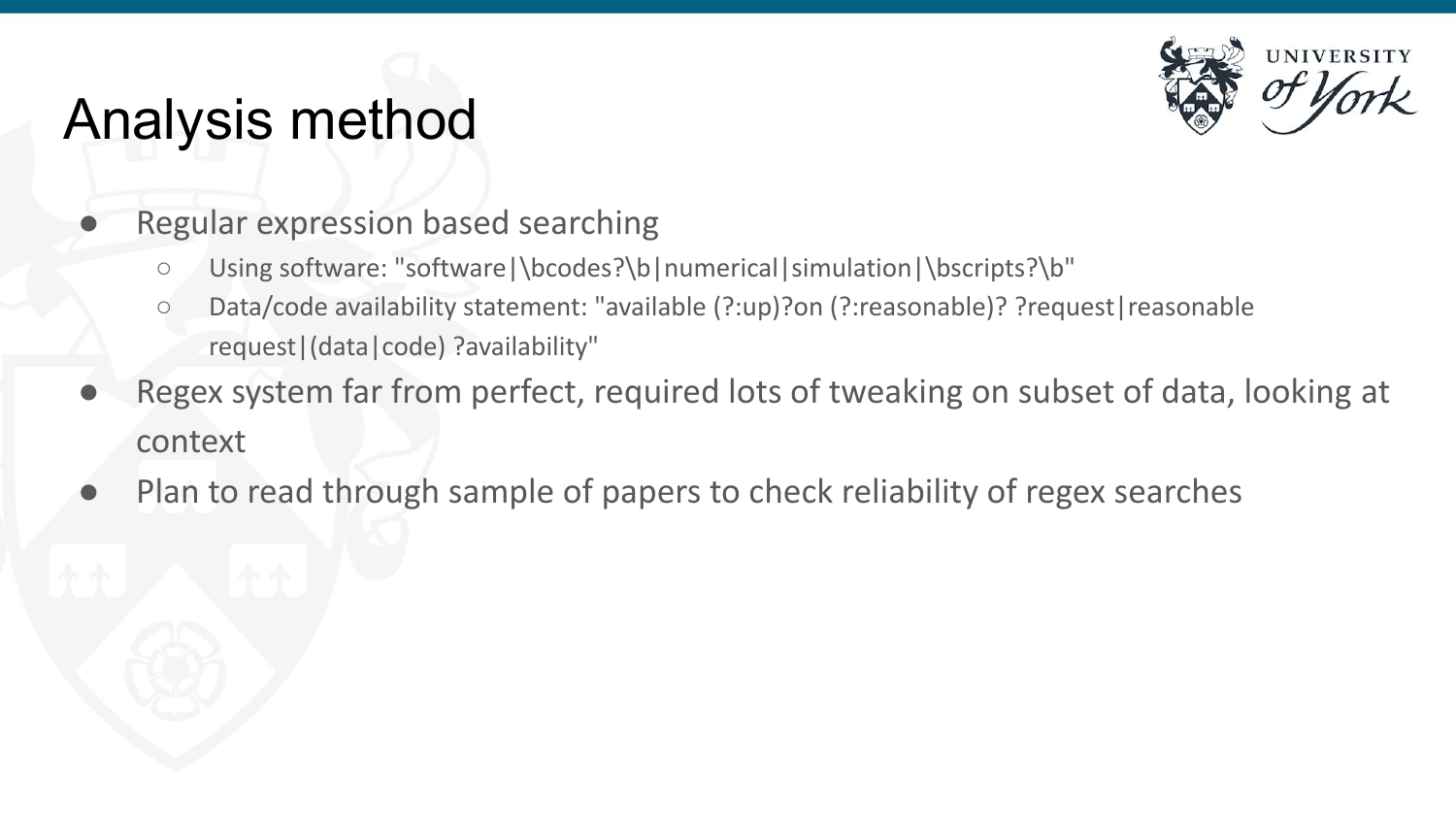### Analysis method



- Regular expression based searching
	- Using software: "software|\bcodes?\b|numerical|simulation|\bscripts?\b"
	- Data/code availability statement: "available (?:up)?on (?:reasonable)? ?request|reasonable request|(data|code) ?availability"
- Regex system far from perfect, required lots of tweaking on subset of data, looking at context
- Plan to read through sample of papers to check reliability of regex searches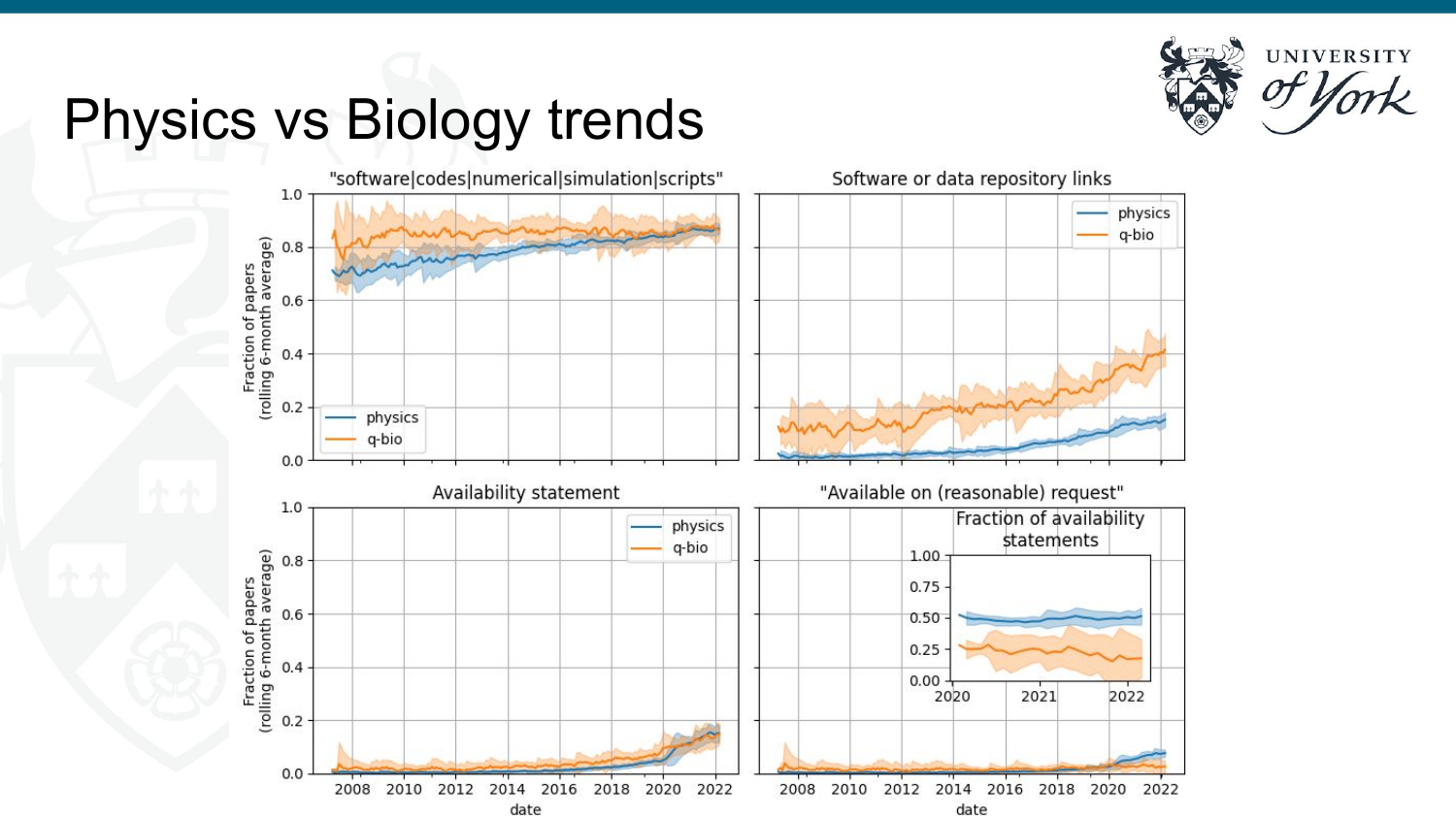

### Physics vs Biology trends

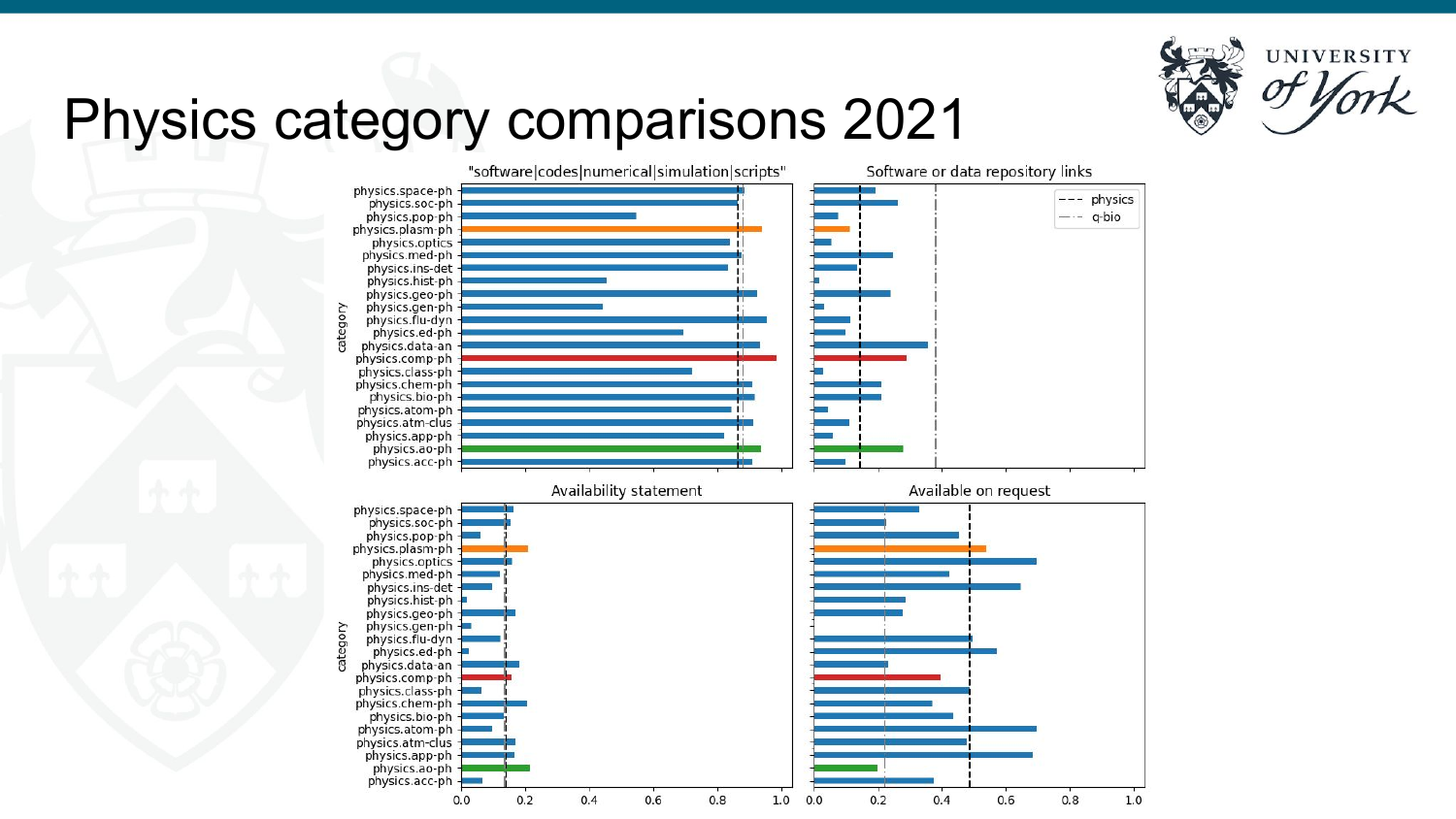

### Physics category comparisons 2021

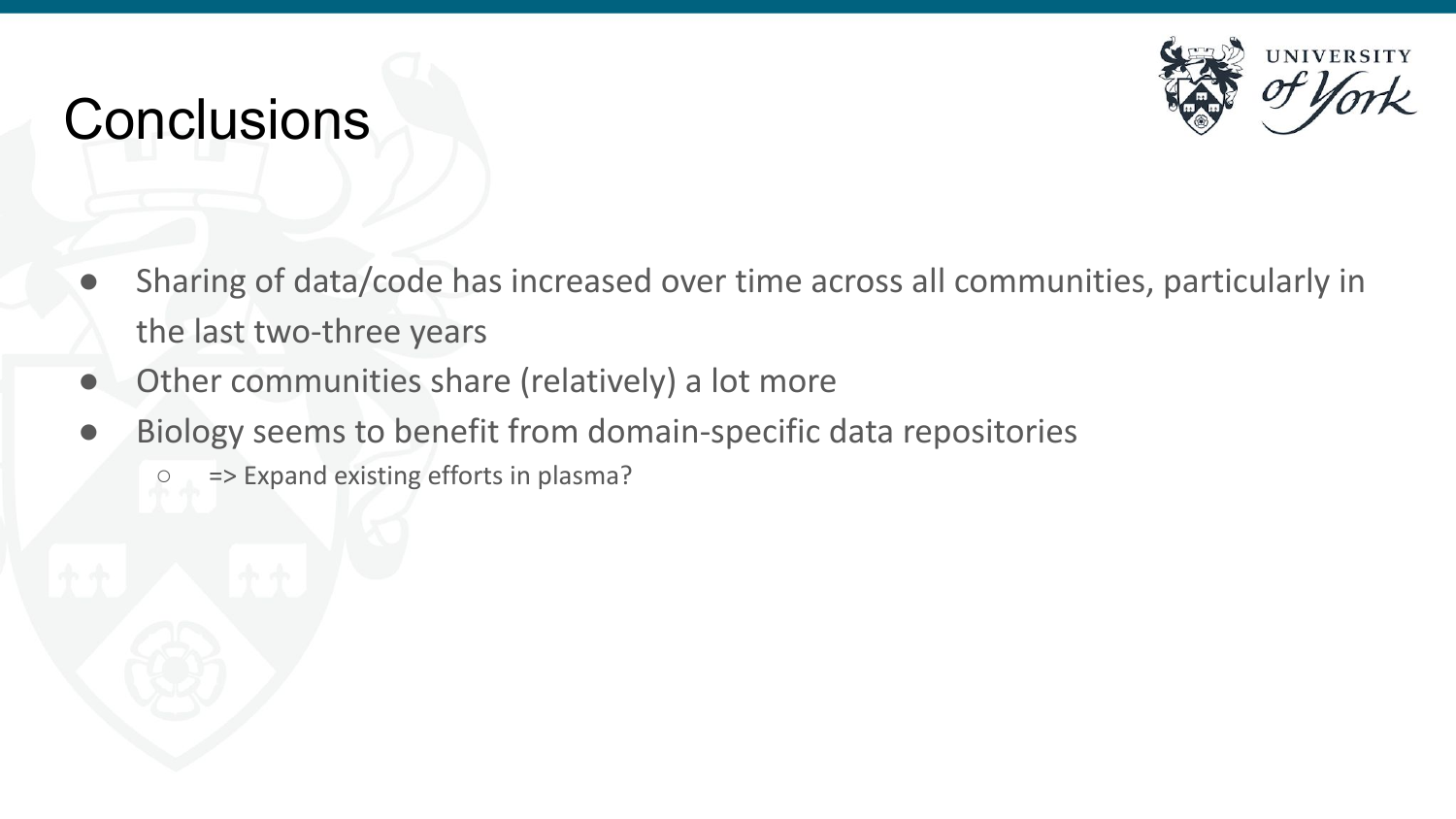

### **Conclusions**

- Sharing of data/code has increased over time across all communities, particularly in the last two-three years
- Other communities share (relatively) a lot more
- Biology seems to benefit from domain-specific data repositories
	- => Expand existing efforts in plasma?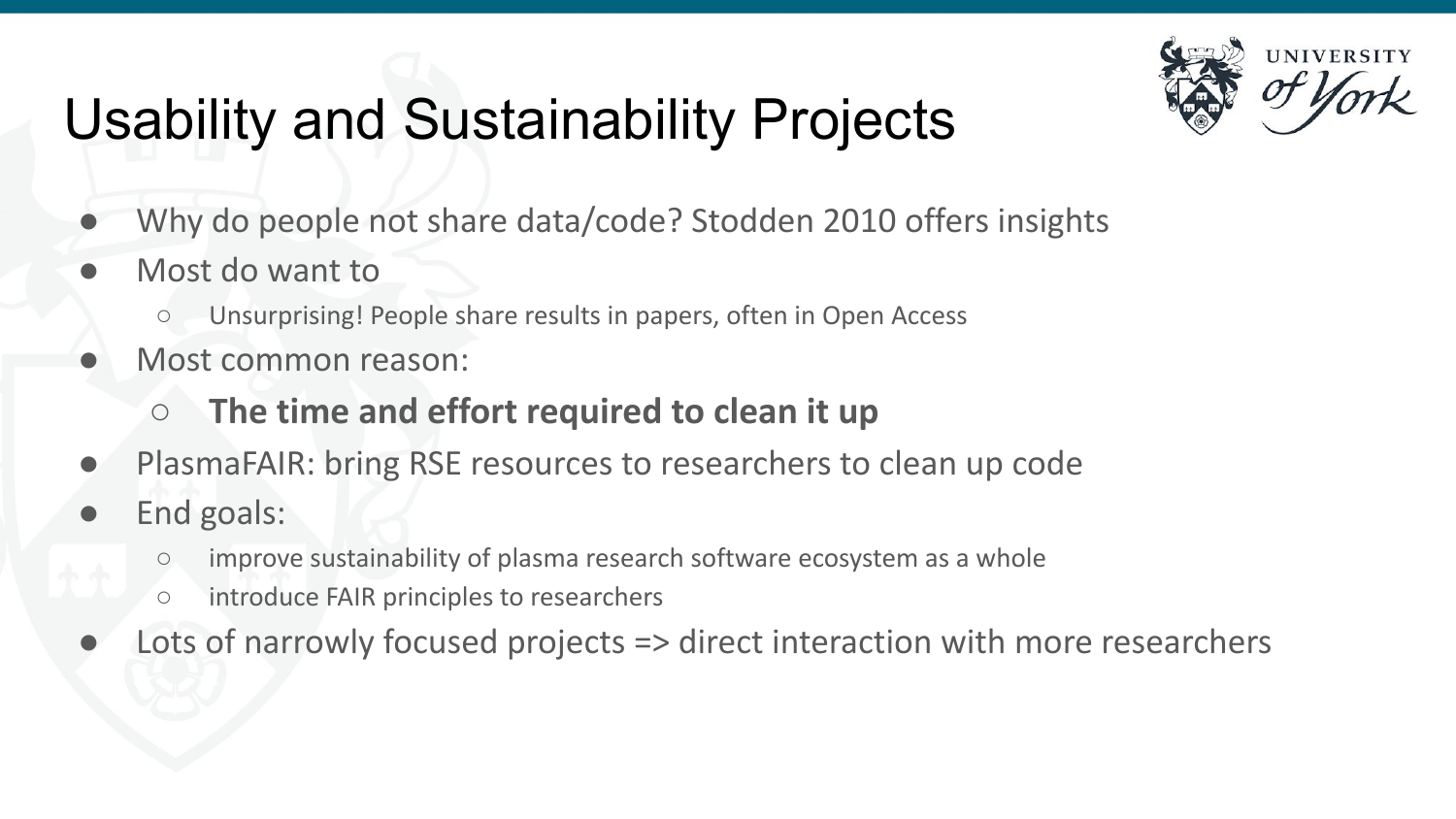## Usability and Sustainability Projects



- Why do people not share data/code? Stodden 2010 offers insights
- Most do want to
	- Unsurprising! People share results in papers, often in Open Access
- Most common reason:
	- **○ The time and effort required to clean it up**
- PlasmaFAIR: bring RSE resources to researchers to clean up code
- End goals:
	- improve sustainability of plasma research software ecosystem as a whole
	- introduce FAIR principles to researchers
- Lots of narrowly focused projects => direct interaction with more researchers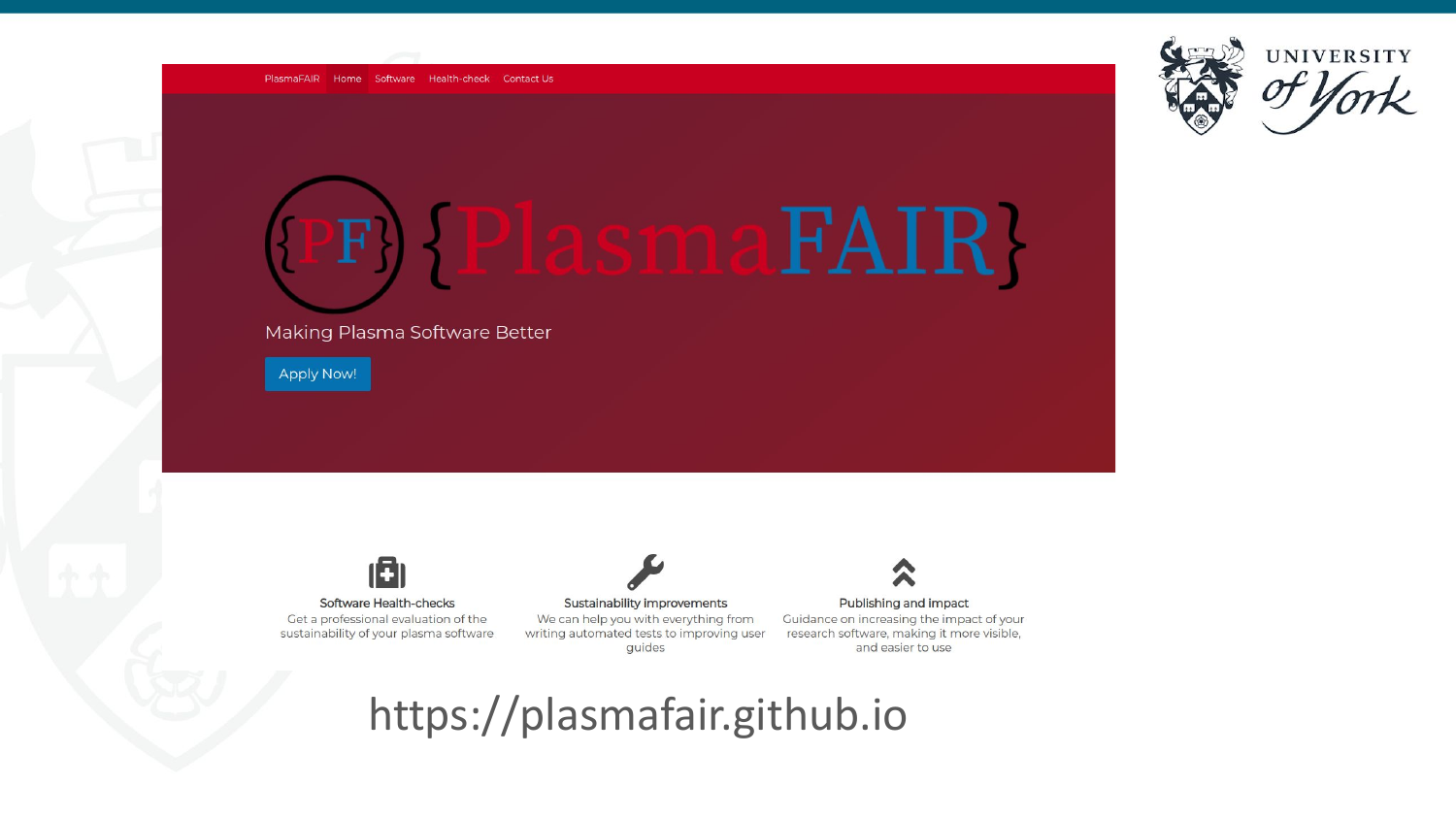



### Making Plasma Software Better

Apply Now!

Software Health-checks Get a professional evaluation of the sustainability of your plasma software

13

Sustainability improvements We can help you with everything from writing automated tests to improving user guides

### Publishing and impact

Guidance on increasing the impact of your research software, making it more visible, and easier to use

### https://plasmafair.github.io

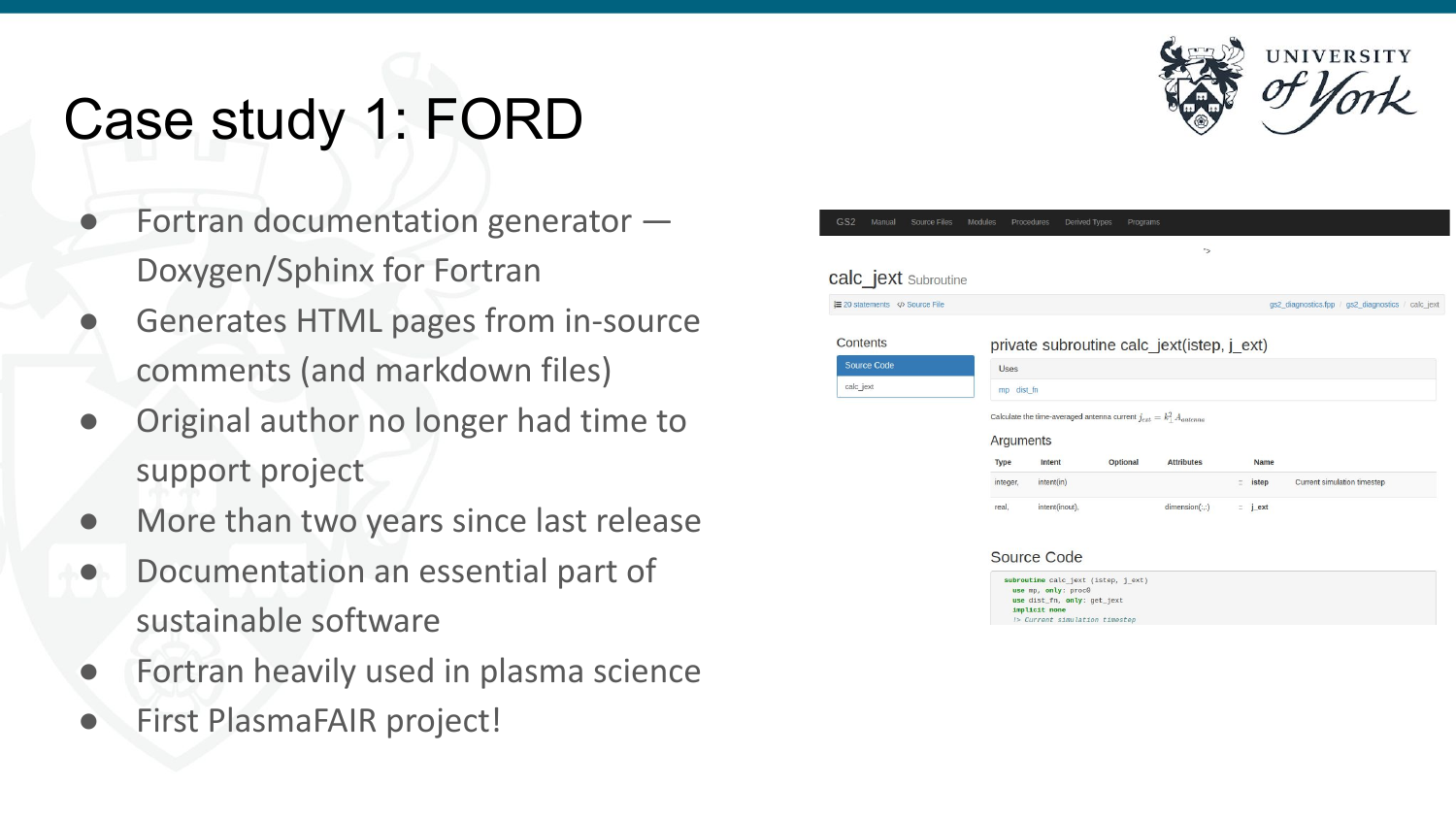## Case study 1: FORD

- Fortran documentation generator  $-$ Doxygen/Sphinx for Fortran
- Generates HTML pages from in-source comments (and markdown files)
- Original author no longer had time to support project
- More than two years since last release
- Documentation an essential part of sustainable software
- Fortran heavily used in plasma science
- **First PlasmaFAIR project!**



| $\overline{\phantom{a}}$<br>Source Files<br>Manual | Modules<br>Procedures                                                                  | Derived Types  | Programs |                                            |                    |                                                   |  |
|----------------------------------------------------|----------------------------------------------------------------------------------------|----------------|----------|--------------------------------------------|--------------------|---------------------------------------------------|--|
|                                                    |                                                                                        |                |          | ">                                         |                    |                                                   |  |
| C_jext Subroutine                                  |                                                                                        |                |          |                                            |                    |                                                   |  |
| statements  Source File                            |                                                                                        |                |          |                                            |                    | gs2 diagnostics.fpp / gs2 diagnostics / calc jext |  |
| <i>ntents</i>                                      |                                                                                        |                |          | private subroutine calc jext(istep, j ext) |                    |                                                   |  |
| ource Code                                         | <b>Uses</b>                                                                            |                |          |                                            |                    |                                                   |  |
| alc_jext                                           | mp dist fn                                                                             |                |          |                                            |                    |                                                   |  |
|                                                    | Calculate the time-averaged antenna current $j_{ext} = k_1^2 A_{antenna}$<br>Arguments |                |          |                                            |                    |                                                   |  |
|                                                    | <b>Type</b>                                                                            | Intent         | Optional | <b>Attributes</b>                          |                    | <b>Name</b>                                       |  |
|                                                    | integer.                                                                               | intent(in)     |          |                                            | ÷.                 | Current simulation timestep<br>istep              |  |
|                                                    | real.                                                                                  | intent(inout), |          | dimension(:)                               | $\therefore$ j_ext |                                                   |  |



cа.

| proutine calc jext (istep, j ext) |  |
|-----------------------------------|--|
|                                   |  |
| use mp, only: proc0               |  |
| use dist fn. only: get jext       |  |
| implicit none                     |  |
| > Current simulation timestep     |  |
|                                   |  |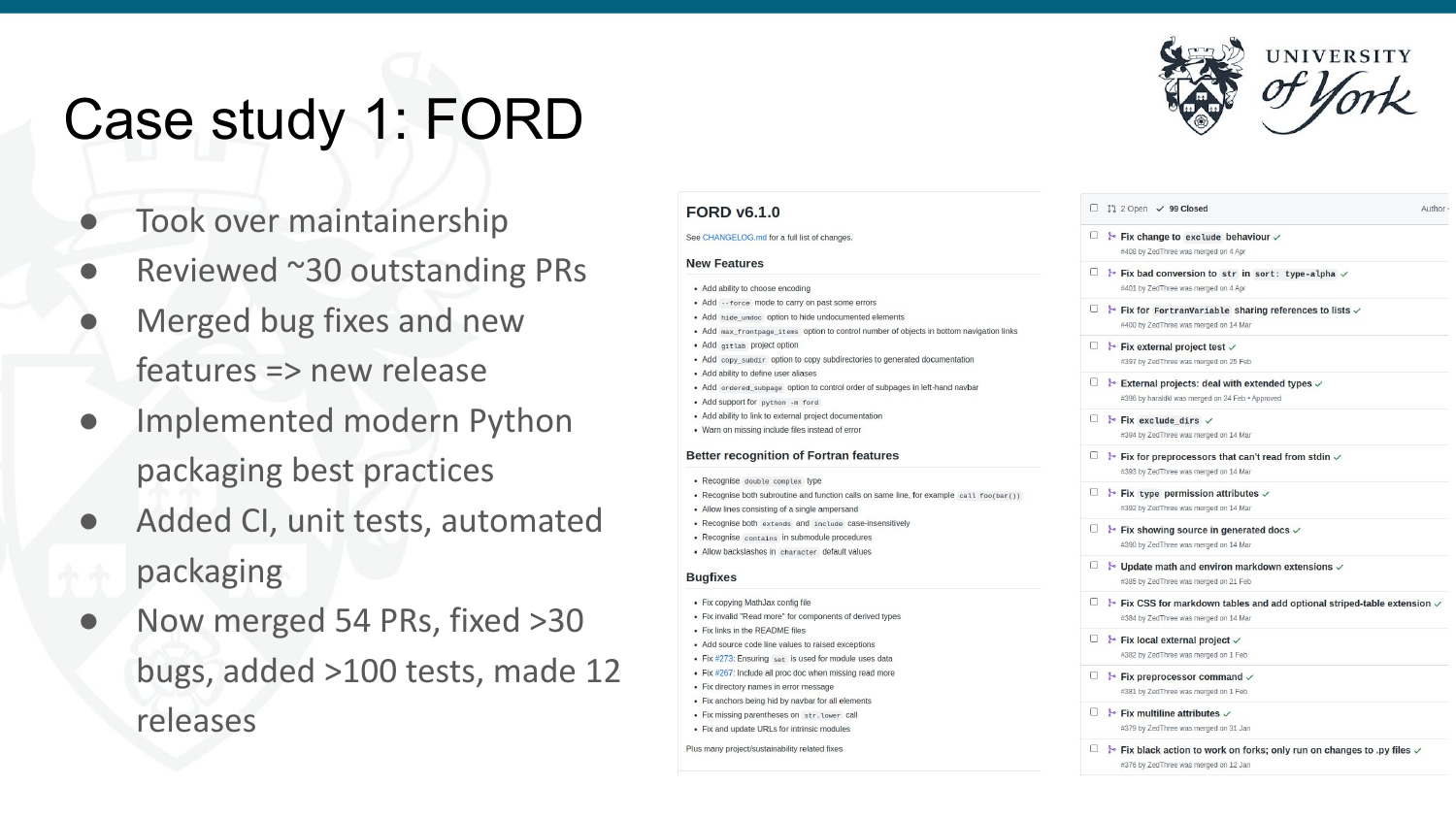## Case study 1: FORD

- Took over maintainership
- Reviewed  $\sim$ 30 outstanding PRs
- Merged bug fixes and new features => new release
- Implemented modern Python packaging best practices
- Added CI, unit tests, automated packaging
- Now merged 54 PRs, fixed >30 bugs, added >100 tests, made 12 releases

### **FORD v6.1.0**

### See CHANGELOG.md for a full list of changes.

### **New Features**

- · Add ability to choose encoding
- Add -- force mode to carry on past some errors
- . Add hide undoc option to hide undocumented elements
- . Add max frontpage items option to control number of objects in bottom navigation links
- Add gitlab project option
- Add copy subdir option to copy subdirectories to generated documentation
- · Add ability to define user aliases
- Add ordered\_subpage option to control order of subpages in left-hand navbar
- Add support for python -m ford
- · Add ability to link to external project documentation
- · Warn on missing include files instead of error

### **Better recognition of Fortran features**

- Recognise double complex type
- Recognise both subroutine and function calls on same line, for example call foo(bar())
- Allow lines consisting of a single ampersand
- Recognise both extends and include case-insensitively
- Recognise contains in submodule procedures · Allow backslashes in character default values

### **Buafixes**

- Fix copying MathJax config file
- Fix invalid "Read more" for components of derived types
- Fix links in the README files
- Add source code line values to raised exceptions
- . Fix #273: Ensuring set is used for module uses data
- Fix #267: Include all proc doc when missing read more • Fix directory names in error message
- · Fix anchors being hid by naybar for all elements
- · Fix missing parentheses on str. Lower call
- Fix and update URLs for intrinsic modules

Plus many project/sustainability related fixes

 $\Box$  11 2 Open  $\checkmark$  99 Closed

Author -

- $\Box$   $\rightarrow$  Fix change to exclude behaviour  $\checkmark$ #408 by ZedThree was merged on 4 Apr
- $\Box$  i. Fix bad conversion to str in sort: type-alpha  $\vee$ #401 by ZedThree was merged on 4 Apr
- $\Box$  is Fix for FortranVariable sharing references to lists  $\vee$ #400 by ZedThree was merged on 14 Mar
- $\Box$   $\rightarrow$  Fix external project test  $\sim$ #397 by ZedThree was merged on 25 Feb
- □ ⊁ External projects: deal with extended types  $\checkmark$ #396 by haraldkl was merged on 24 Feb · Approved
- $\Box$  **}** Fix exclude dirs  $\lor$ #394 by ZedThree was merged on 14 Mar
- $\Box$  & Fix for preprocessors that can't read from stdin  $\checkmark$ #393 by ZedThree was merged on 14 Mar
- $\Box$   $\rightarrow$  Fix type permission attributes  $\vee$ #392 by ZedThree was merged on 14 Mar
- $\Box$  & Fix showing source in generated docs  $\vee$ #390 by ZedThree was merged on 14 Mar
- $\Box$   $\rightarrow$  Update math and environ markdown extensions  $\checkmark$ #385 by ZedThree was merged on 21 Feb
- $\Box$  & Fix CSS for markdown tables and add optional striped-table extension  $\vee$ #384 by ZedThree was merged on 14 Mar
- $\Box$  & Fix local external project  $\checkmark$ 
	- #382 by ZedThree was merged on 1 Feb
- $\Box$  & Fix preprocessor command  $\checkmark$ #381 by ZedThree was merged on 1 Feb
- $\Box$  **1** Fix multiline attributes  $\vee$ #379 by ZedThree was merged on 31 Jan
- $\Box$  Fix black action to work on forks; only run on changes to .py files  $\vee$ #376 by ZedThree was merged on 12 Jan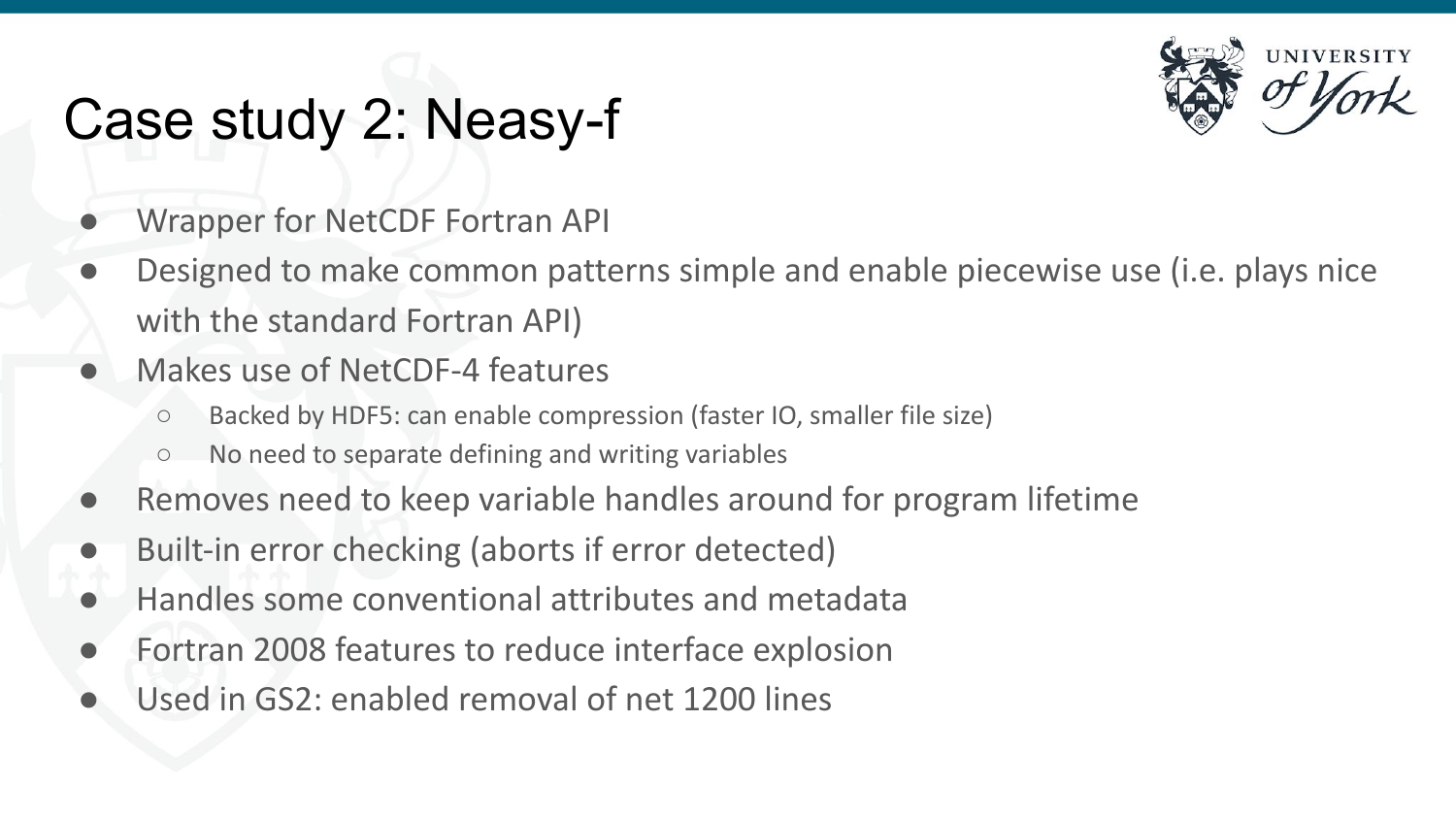## Case study 2: Neasy-f

- Wrapper for NetCDF Fortran API
- Designed to make common patterns simple and enable piecewise use (i.e. plays nice with the standard Fortran API)
- Makes use of NetCDF-4 features
	- Backed by HDF5: can enable compression (faster IO, smaller file size)
	- No need to separate defining and writing variables
- Removes need to keep variable handles around for program lifetime
- Built-in error checking (aborts if error detected)
- Handles some conventional attributes and metadata
- Fortran 2008 features to reduce interface explosion
- Used in GS2: enabled removal of net 1200 lines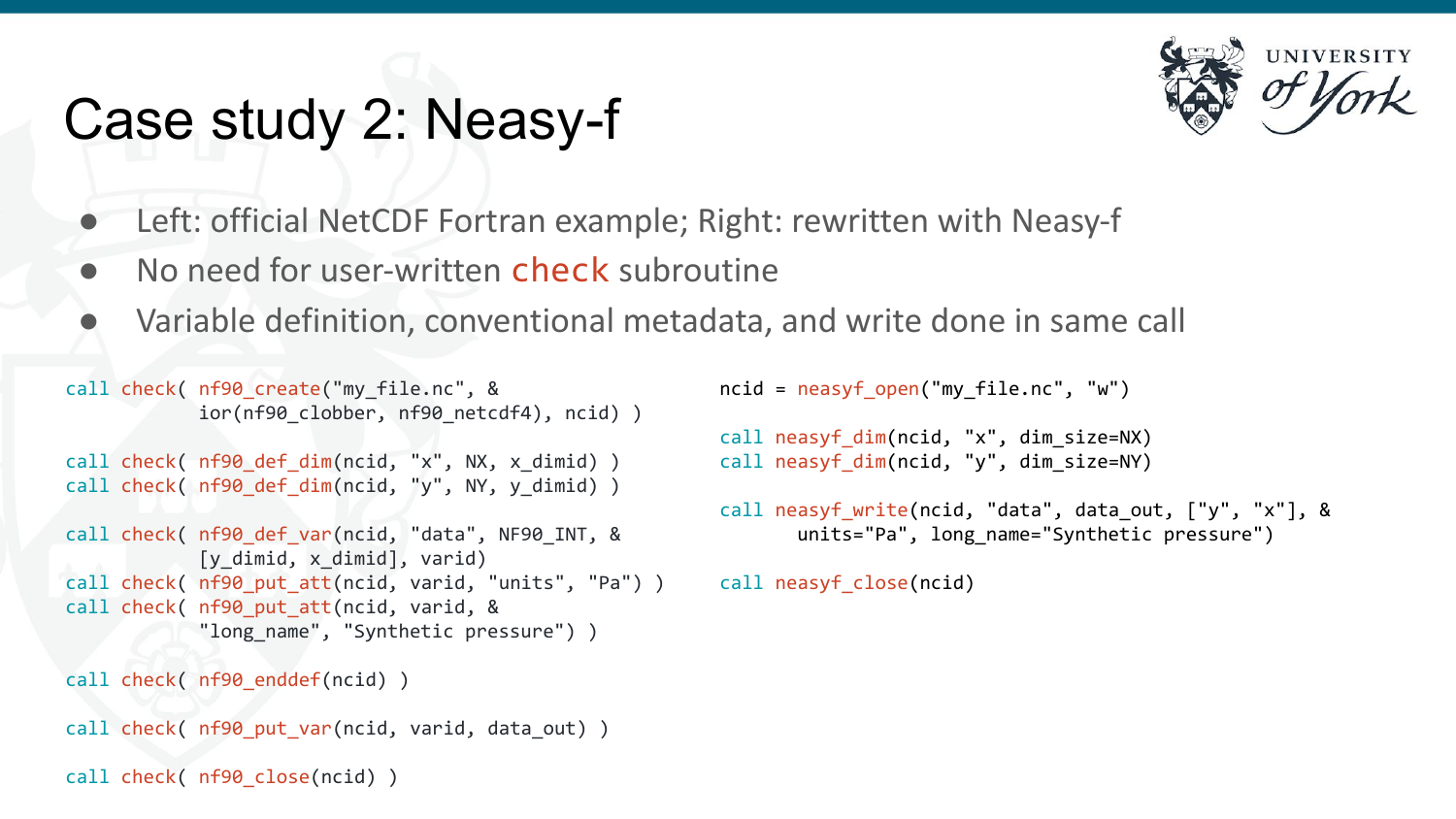### Case study 2: Neasy-f



- Left: official NetCDF Fortran example; Right: rewritten with Neasy-f
- No need for user-written check subroutine
- Variable definition, conventional metadata, and write done in same call

```
call check( nf90_create("my_file.nc", &
            ior(nf90 clobber, nf90 netcdf4), ncid) )
call check( nf90 def dim(ncid, "x", NX, x dimid) )
call check( nf90 def dim(ncid, "y", NY, y dimid) )
call check( nf90_def_var(ncid, "data", NF90_INT, & 
            [y dimid, x dimid], varid)
call check( nf90 put att(ncid, varid, "units", "Pa") )
call check( nf90 put att(ncid, varid, &
            "long name", "Synthetic pressure") )
call check( nf90 enddef(ncid) )
call check( nf90 put var(ncid, varid, data out) )
call check( nf90 close(ncid) )
```

```
ncid = neasyf open("my file.nc", "w")
call neasyf dim(ncid, "x", dim size=NX)
call neasyf dim(ncid, "y", dim size=NY)
call neasyf_write(ncid, "data", data_out, ["y", "x"], &
       units="Pa", long name="Synthetic pressure")
```

```
call neasyf_close(ncid)
```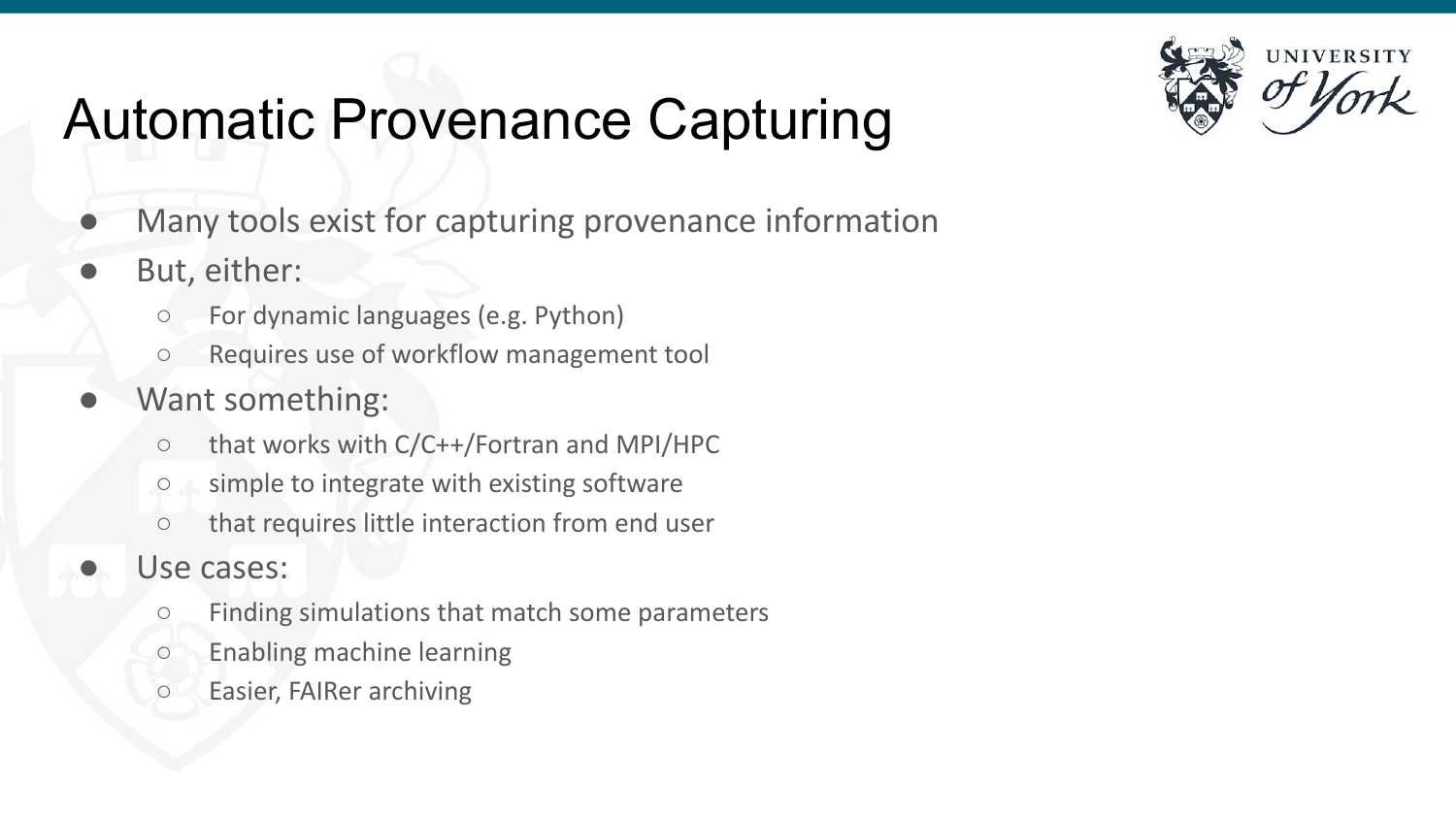

## Automatic Provenance Capturing

- Many tools exist for capturing provenance information
- But, either:
	- For dynamic languages (e.g. Python)
	- Requires use of workflow management tool
- Want something:
	- that works with C/C++/Fortran and MPI/HPC
	- simple to integrate with existing software
	- that requires little interaction from end user
- Use cases:
	- Finding simulations that match some parameters
	- Enabling machine learning
	- Easier, FAIRer archiving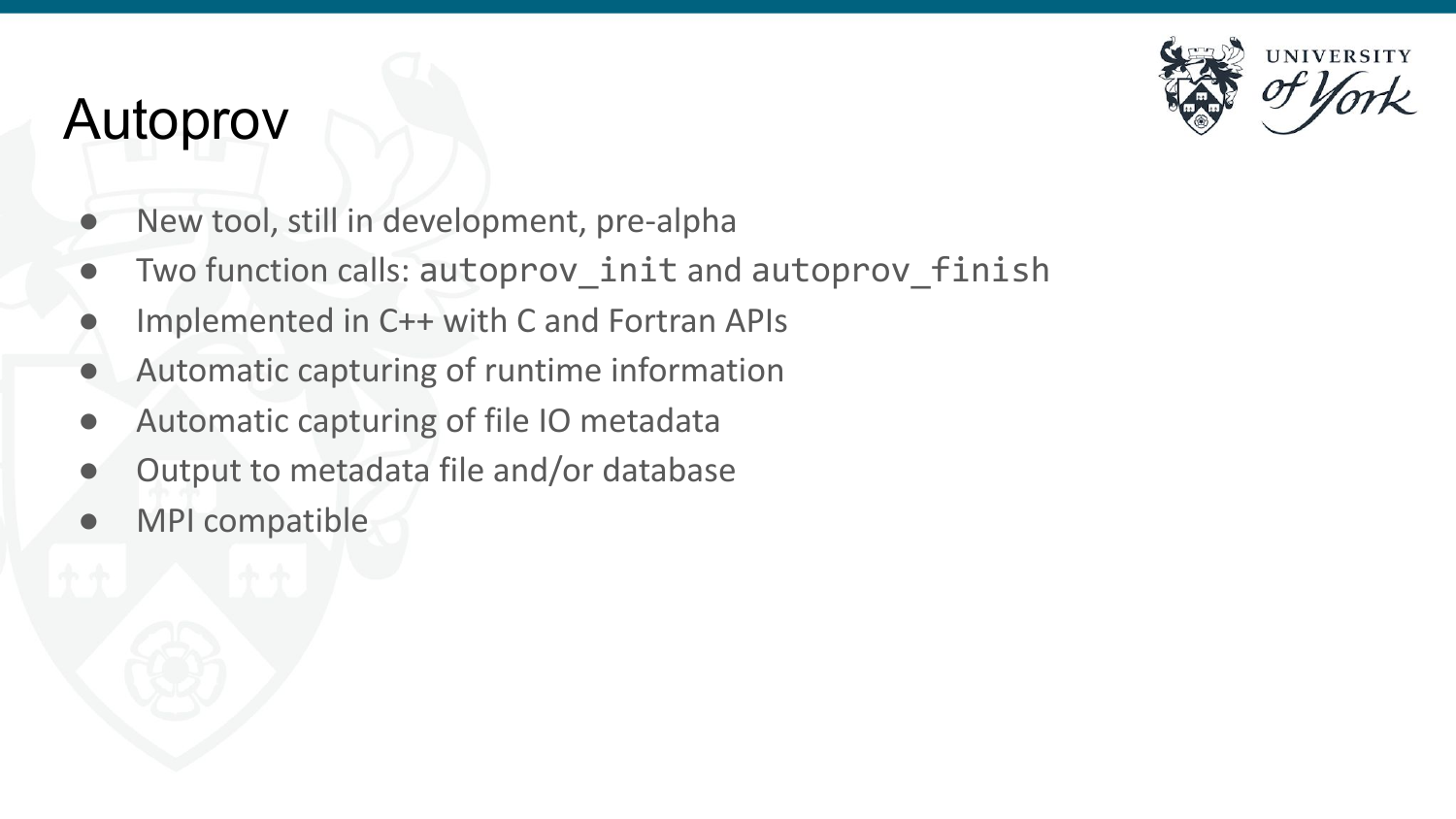### Autoprov



- New tool, still in development, pre-alpha
- Two function calls: autoprov init and autoprov finish
- Implemented in C++ with C and Fortran APIs
- Automatic capturing of runtime information
- Automatic capturing of file IO metadata
- Output to metadata file and/or database
- MPI compatible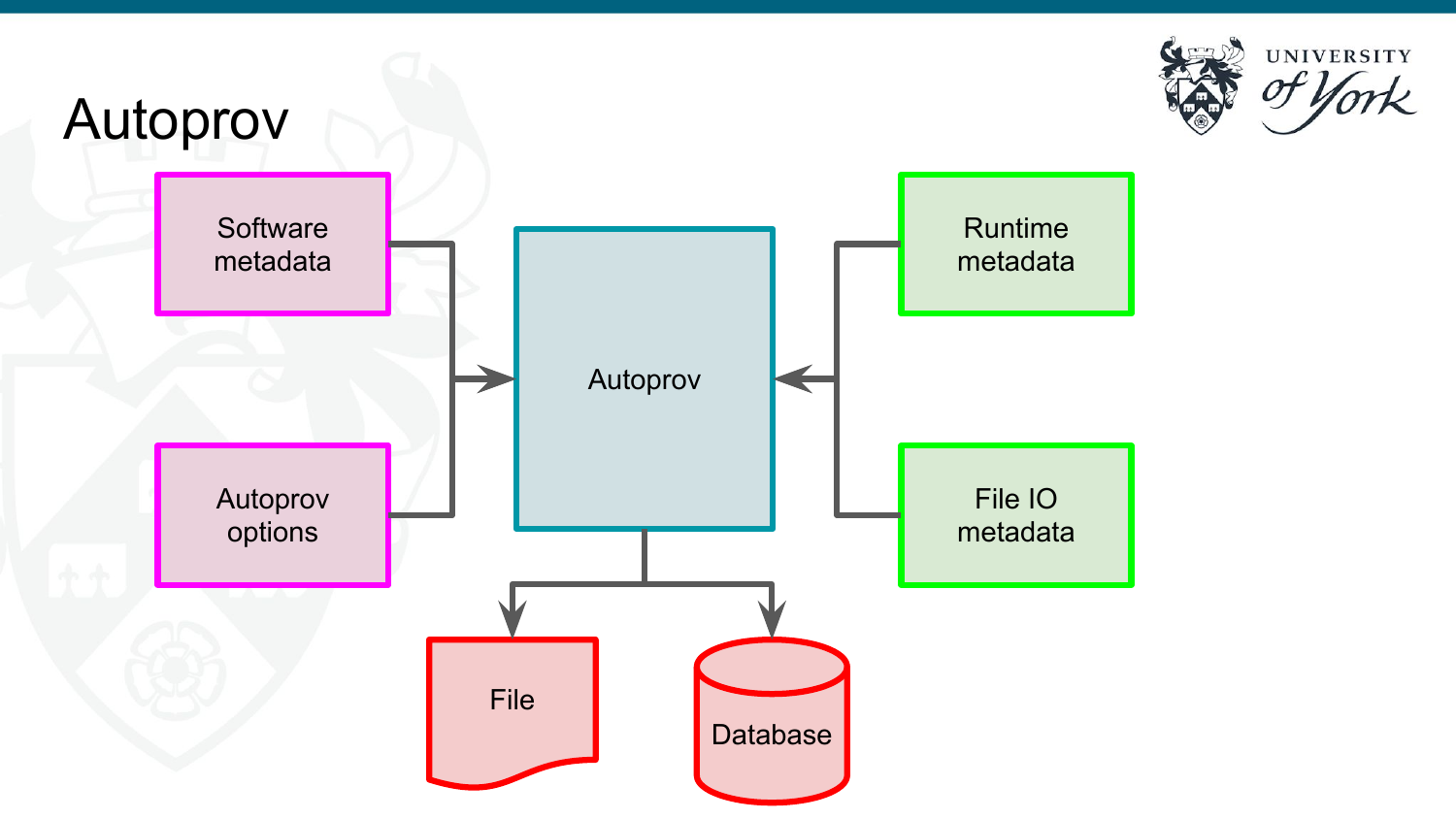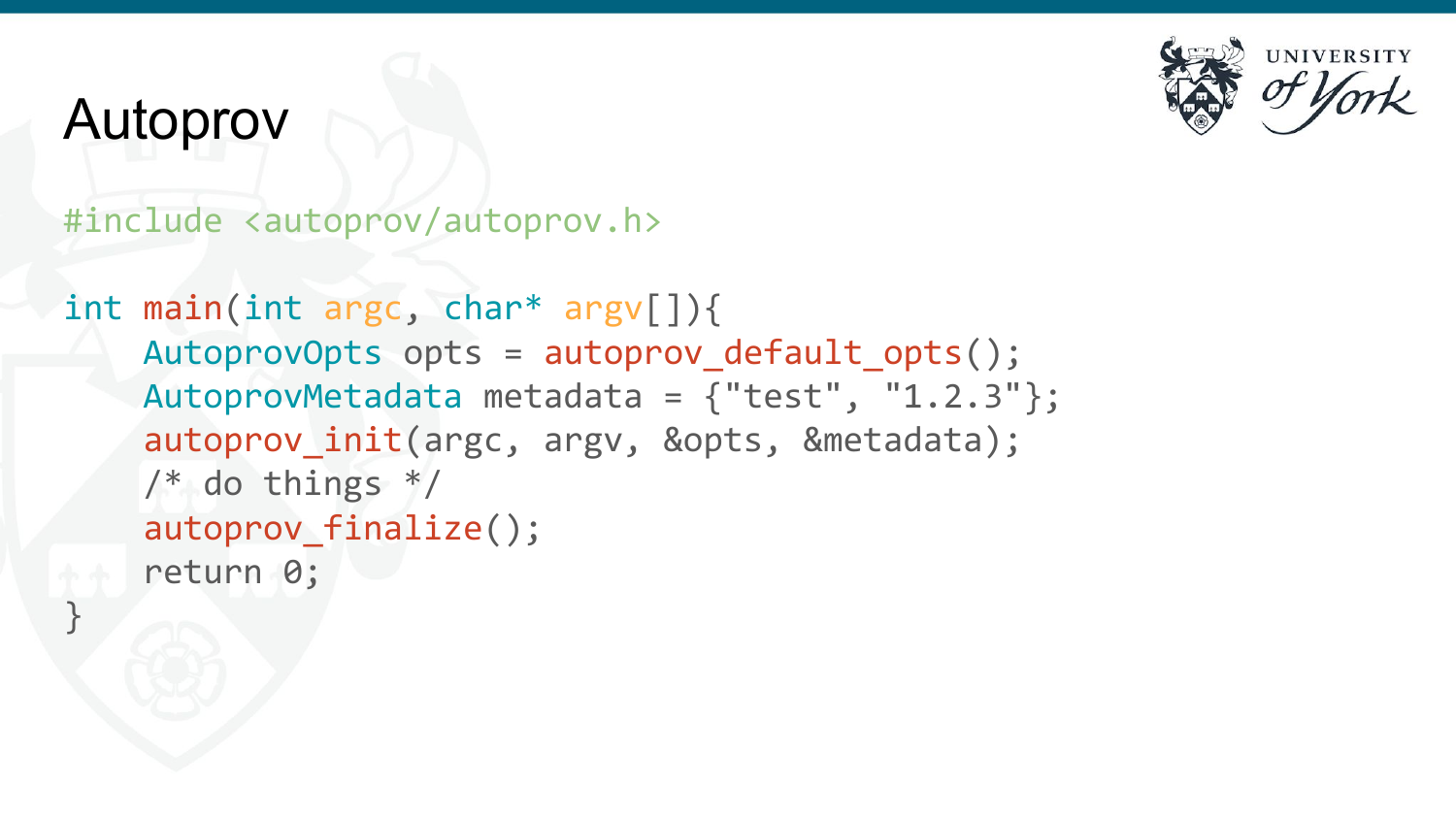

### Autoprov

}

### #include <autoprov/autoprov.h>

```
int main(int argc, char* argv[]){
   AutoprovOpts opts = autoprov default opts();
     AutoprovMetadata metadata = {"test", "1.2.3"};
    autoprov init(argc, argv, &opts, &metadata);
    /* do things */ autoprov_finalize();
     return 0;
```